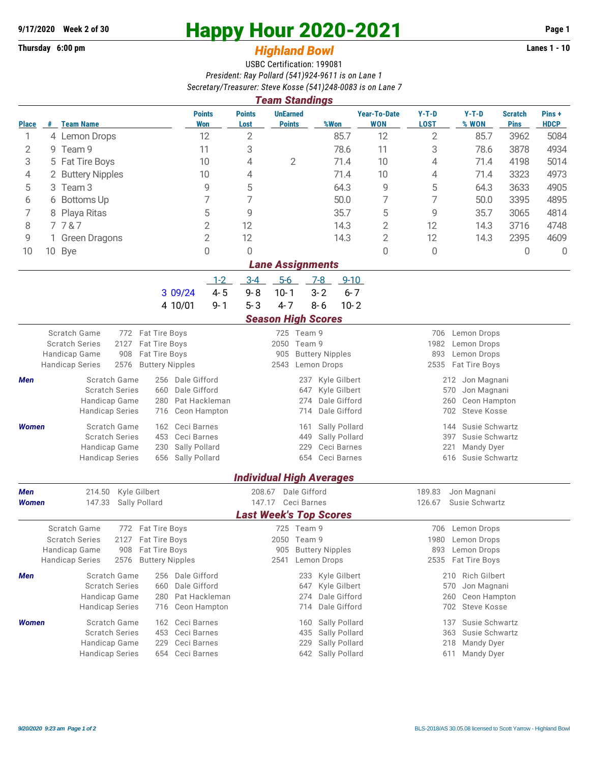## **Thursday 6:00 pm** *Highland Bowl* **Lanes 1 - 10**

## **9/17/2020 Week 2 of 30 Happy Hour 2020-2021 Page 1**

## USBC Certification: 199081 *President: Ray Pollard (541)924-9611 is on Lane 1 Secretary/Treasurer: Steve Kosse (541)248-0083 is on Lane 7*

| <b>Team Standings</b><br><b>UnEarned</b><br><b>Points</b><br><b>Year-To-Date</b><br>$Y-T-D$<br>$Y-T-D$<br>Pins+<br><b>Points</b><br><b>Scratch</b> |                                                |                                         |                                          |                               |                                            |                     |                                              |                                           |                                             |                                           |             |             |  |  |
|----------------------------------------------------------------------------------------------------------------------------------------------------|------------------------------------------------|-----------------------------------------|------------------------------------------|-------------------------------|--------------------------------------------|---------------------|----------------------------------------------|-------------------------------------------|---------------------------------------------|-------------------------------------------|-------------|-------------|--|--|
| <b>Place</b>                                                                                                                                       | #                                              | <b>Team Name</b>                        |                                          | <b>Won</b>                    | Lost                                       | <b>Points</b>       | %Won                                         | <b>WON</b>                                | <b>LOST</b>                                 | % WON                                     | <b>Pins</b> | <b>HDCP</b> |  |  |
| 1                                                                                                                                                  |                                                | 4 Lemon Drops                           |                                          | 12                            | $\overline{2}$                             |                     | 85.7                                         | 12                                        | $\overline{2}$                              | 85.7                                      | 3962        | 5084        |  |  |
| 2                                                                                                                                                  | 9                                              | Team 9                                  |                                          | 11                            | 3                                          |                     | 78.6                                         | 11                                        | 3                                           | 78.6                                      | 3878        | 4934        |  |  |
| 3                                                                                                                                                  |                                                | 5 Fat Tire Boys                         |                                          | 10                            | 4                                          | $\overline{2}$      | 71.4                                         | 10                                        | 4                                           | 71.4                                      | 4198        | 5014        |  |  |
| 4                                                                                                                                                  |                                                | 2 Buttery Nipples                       |                                          | 10                            | 4                                          |                     | 71.4                                         | 10                                        | 4                                           | 71.4                                      | 3323        | 4973        |  |  |
| 5                                                                                                                                                  |                                                | 3 Team 3                                |                                          | 9                             | 5                                          |                     | 64.3                                         | 9                                         | 5                                           | 64.3                                      | 3633        | 4905        |  |  |
| 6                                                                                                                                                  |                                                | 6 Bottoms Up                            |                                          | 7                             | 7                                          |                     | 50.0                                         | 7                                         | 7                                           | 50.0                                      | 3395        | 4895        |  |  |
| 7                                                                                                                                                  |                                                | 8 Playa Ritas                           |                                          | 5                             | 9<br>12                                    |                     | 35.7                                         | 5                                         | 9                                           | 35.7                                      | 3065        | 4814        |  |  |
| 8                                                                                                                                                  |                                                | 7787                                    | $\overline{2}$                           |                               |                                            |                     | 14.3                                         | $\overline{2}$                            | 12                                          | 14.3                                      | 3716        | 4748        |  |  |
| 9                                                                                                                                                  |                                                | 1 Green Dragons                         |                                          | $\overline{2}$                | 12                                         |                     | 14.3                                         | $\overline{2}$                            | 12                                          | 14.3                                      | 2395        | 4609        |  |  |
| 10                                                                                                                                                 |                                                | 10 Bye                                  |                                          | 0                             | $\Omega$                                   |                     |                                              | 0                                         | 0                                           |                                           | 0           | $\Omega$    |  |  |
| <b>Lane Assignments</b>                                                                                                                            |                                                |                                         |                                          |                               |                                            |                     |                                              |                                           |                                             |                                           |             |             |  |  |
|                                                                                                                                                    |                                                |                                         |                                          | $1 - 2$                       | $3-4$                                      | $5-6$               | $7-8$<br>$9 - 10$                            |                                           |                                             |                                           |             |             |  |  |
|                                                                                                                                                    |                                                |                                         | 3 09/24<br>4 10/01                       | $4 - 5$<br>$9 - 1$            | $9 - 8$<br>$5 - 3$                         | $10 - 1$<br>$4 - 7$ | $3 - 2$<br>$8 - 6$<br>$10 - 2$               | $6 - 7$                                   |                                             |                                           |             |             |  |  |
|                                                                                                                                                    |                                                |                                         |                                          |                               |                                            |                     | <b>Season High Scores</b>                    |                                           |                                             |                                           |             |             |  |  |
|                                                                                                                                                    |                                                | <b>Scratch Game</b>                     | 772 Fat Tire Boys                        |                               |                                            | 725 Team 9          |                                              |                                           |                                             | 706 Lemon Drops                           |             |             |  |  |
|                                                                                                                                                    | <b>Scratch Series</b><br>2127<br>Fat Tire Boys |                                         |                                          |                               | 2050 Team 9                                |                     |                                              | 1982<br>Lemon Drops<br>893<br>Lemon Drops |                                             |                                           |             |             |  |  |
| 908<br>Handicap Game<br>Fat Tire Boys                                                                                                              |                                                |                                         |                                          | 905                           | <b>Buttery Nipples</b>                     |                     |                                              |                                           |                                             |                                           |             |             |  |  |
|                                                                                                                                                    |                                                | <b>Handicap Series</b><br>2576          | <b>Buttery Nipples</b>                   |                               |                                            | 2543                | Lemon Drops                                  |                                           | 2535                                        | Fat Tire Boys                             |             |             |  |  |
| Scratch Game<br>Men<br><b>Scratch Series</b><br>660<br>Handicap Game<br>280<br><b>Handicap Series</b><br>716                                       |                                                | 256 Dale Gifford<br>Dale Gifford        |                                          |                               |                                            |                     | Kyle Gilbert<br>237                          |                                           | 212 Jon Magnani                             |                                           |             |             |  |  |
|                                                                                                                                                    |                                                |                                         | Pat Hackleman                            |                               | Kyle Gilbert<br>647<br>Dale Gifford<br>274 |                     |                                              |                                           | 570<br>Jon Magnani<br>260<br>Ceon Hampton   |                                           |             |             |  |  |
|                                                                                                                                                    |                                                |                                         |                                          | Ceon Hampton                  |                                            |                     | Dale Gifford<br>714                          |                                           |                                             | <b>Steve Kosse</b><br>702                 |             |             |  |  |
| Women                                                                                                                                              |                                                | Scratch Game                            | Ceci Barnes<br>162                       |                               |                                            |                     | Sally Pollard<br>161                         |                                           |                                             | Susie Schwartz<br>144                     |             |             |  |  |
|                                                                                                                                                    |                                                | <b>Scratch Series</b>                   | 453<br>Ceci Barnes                       |                               |                                            |                     | Sally Pollard<br>449                         |                                           |                                             | 397<br>Susie Schwartz                     |             |             |  |  |
|                                                                                                                                                    |                                                | Handicap Game                           | Sally Pollard<br>230                     |                               |                                            |                     | 229<br>Ceci Barnes<br>Ceci Barnes            |                                           | 221<br>Mandy Dyer<br>616<br>Susie Schwartz  |                                           |             |             |  |  |
|                                                                                                                                                    |                                                | <b>Handicap Series</b>                  | 656<br>Sally Pollard                     |                               |                                            |                     | 654                                          |                                           |                                             |                                           |             |             |  |  |
|                                                                                                                                                    |                                                |                                         |                                          |                               |                                            |                     | <b>Individual High Averages</b>              |                                           |                                             |                                           |             |             |  |  |
| <b>Men</b>                                                                                                                                         |                                                | 214.50                                  | Kyle Gilbert                             |                               | 208.67 Dale Gifford<br>147.17 Ceci Barnes  |                     |                                              |                                           | 189.83<br>Jon Magnani                       |                                           |             |             |  |  |
| 147.33<br>Sally Pollard<br>Women                                                                                                                   |                                                |                                         |                                          |                               |                                            |                     | 126.67<br>Susie Schwartz                     |                                           |                                             |                                           |             |             |  |  |
|                                                                                                                                                    |                                                | Scratch Game                            | 772 Fat Tire Boys                        |                               |                                            |                     | <b>Last Week's Top Scores</b>                |                                           |                                             | 706 Lemon Drops                           |             |             |  |  |
|                                                                                                                                                    |                                                | <b>Scratch Series</b><br>2127           | Fat Tire Boys                            |                               |                                            | 725<br>2050 Team 9  | Team 9                                       |                                           | 1980                                        | Lemon Drops                               |             |             |  |  |
|                                                                                                                                                    |                                                | Handicap Game<br>Fat Tire Boys<br>908   |                                          |                               |                                            | 905                 | <b>Buttery Nipples</b>                       |                                           | Lemon Drops<br>893                          |                                           |             |             |  |  |
| <b>Buttery Nipples</b><br><b>Handicap Series</b><br>2576                                                                                           |                                                |                                         |                                          |                               |                                            | 2541                | Lemon Drops                                  |                                           | 2535 Fat Tire Boys                          |                                           |             |             |  |  |
| Men                                                                                                                                                |                                                | Scratch Game                            | 256 Dale Gifford                         |                               |                                            |                     | 233 Kyle Gilbert                             |                                           |                                             | 210 Rich Gilbert                          |             |             |  |  |
|                                                                                                                                                    |                                                | <b>Scratch Series</b>                   | Dale Gifford<br>660                      |                               |                                            |                     | Kyle Gilbert<br>647                          |                                           |                                             | Jon Magnani<br>570                        |             |             |  |  |
|                                                                                                                                                    |                                                | Handicap Game<br><b>Handicap Series</b> | 280<br>716                               | Pat Hackleman<br>Ceon Hampton |                                            |                     | Dale Gifford<br>274<br>Dale Gifford<br>714   |                                           |                                             | Ceon Hampton<br>260<br>702<br>Steve Kosse |             |             |  |  |
|                                                                                                                                                    |                                                |                                         |                                          |                               |                                            |                     |                                              |                                           |                                             |                                           |             |             |  |  |
| Women                                                                                                                                              |                                                | Scratch Game<br><b>Scratch Series</b>   | Ceci Barnes<br>162<br>Ceci Barnes<br>453 |                               |                                            |                     | Sally Pollard<br>160<br>Sally Pollard<br>435 |                                           | 137 Susie Schwartz<br>363<br>Susie Schwartz |                                           |             |             |  |  |
|                                                                                                                                                    |                                                | Handicap Game                           | Ceci Barnes<br>229                       |                               |                                            |                     | Sally Pollard<br>229                         |                                           |                                             | 218<br>Mandy Dyer                         |             |             |  |  |
|                                                                                                                                                    |                                                | <b>Handicap Series</b>                  | Ceci Barnes<br>654                       |                               |                                            |                     | 642 Sally Pollard                            |                                           | 611                                         |                                           |             |             |  |  |